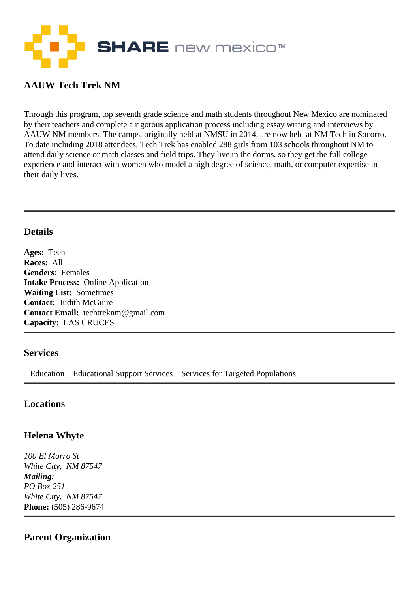

# **AAUW Tech Trek NM**

Through this program, top seventh grade science and math students throughout New Mexico are nominated by their teachers and complete a rigorous application process including essay writing and interviews by AAUW NM members. The camps, originally held at NMSU in 2014, are now held at NM Tech in Socorro. To date including 2018 attendees, Tech Trek has enabled 288 girls from 103 schools throughout NM to attend daily science or math classes and field trips. They live in the dorms, so they get the full college experience and interact with women who model a high degree of science, math, or computer expertise in their daily lives.

#### **Details**

**Ages:** Teen **Races:** All **Genders:** Females **Intake Process:** Online Application **Waiting List:** Sometimes **Contact:** Judith McGuire **Contact Email:** techtreknm@gmail.com **Capacity:** LAS CRUCES

#### **Services**

Education Educational Support Services Services for Targeted Populations

## **Locations**

## **Helena Whyte**

*100 El Morro St White City, NM 87547 Mailing: PO Box 251 White City, NM 87547*  **Phone:** (505) 286-9674

## **Parent Organization**